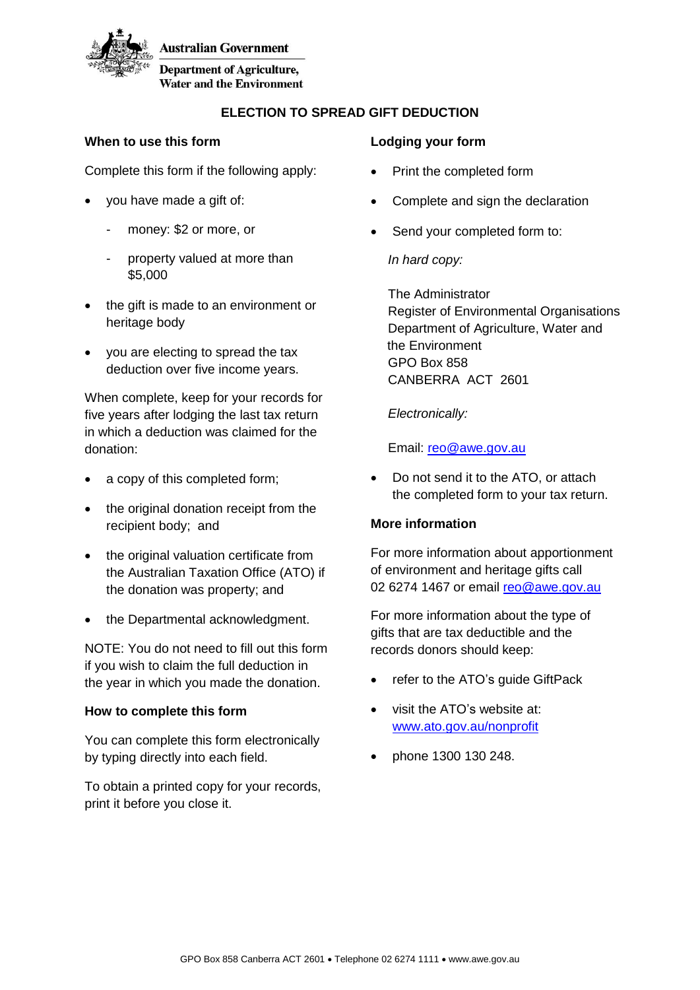

**Australian Government** 

**Department of Agriculture, Water and the Environment** 

# **ELECTION TO SPREAD GIFT DEDUCTION**

## **When to use this form**

Complete this form if the following apply:

- you have made a gift of:
	- money: \$2 or more, or
	- property valued at more than \$5,000
- the gift is made to an environment or heritage body
- you are electing to spread the tax deduction over five income years.

When complete, keep for your records for five years after lodging the last tax return in which a deduction was claimed for the donation:

- a copy of this completed form;
- the original donation receipt from the recipient body; and
- the original valuation certificate from the Australian Taxation Office (ATO) if the donation was property; and
- the Departmental acknowledgment.

NOTE: You do not need to fill out this form if you wish to claim the full deduction in the year in which you made the donation.

# **How to complete this form**

You can complete this form electronically by typing directly into each field.

To obtain a printed copy for your records, print it before you close it.

## **Lodging your form**

- Print the completed form
- Complete and sign the declaration
- Send your completed form to:

*In hard copy:*

The Administrator Register of Environmental Organisations Department of Agriculture, Water and the Environment GPO Box 858 CANBERRA ACT 2601

*Electronically:*

Email: reo@awe.gov.au

 Do not send it to the ATO, or attach the completed form to your tax return.

# **More information**

For more information about apportionment of environment and heritage gifts call 02 6274 1467 or email reo@awe.gov.au

For more information about the type of gifts that are tax deductible and the records donors should keep:

- refer to the ATO's quide GiftPack
- visit the ATO's website at: [www.ato.gov.au/nonprofit](http://www.ato.gov.au/nonprofit)
- phone 1300 130 248.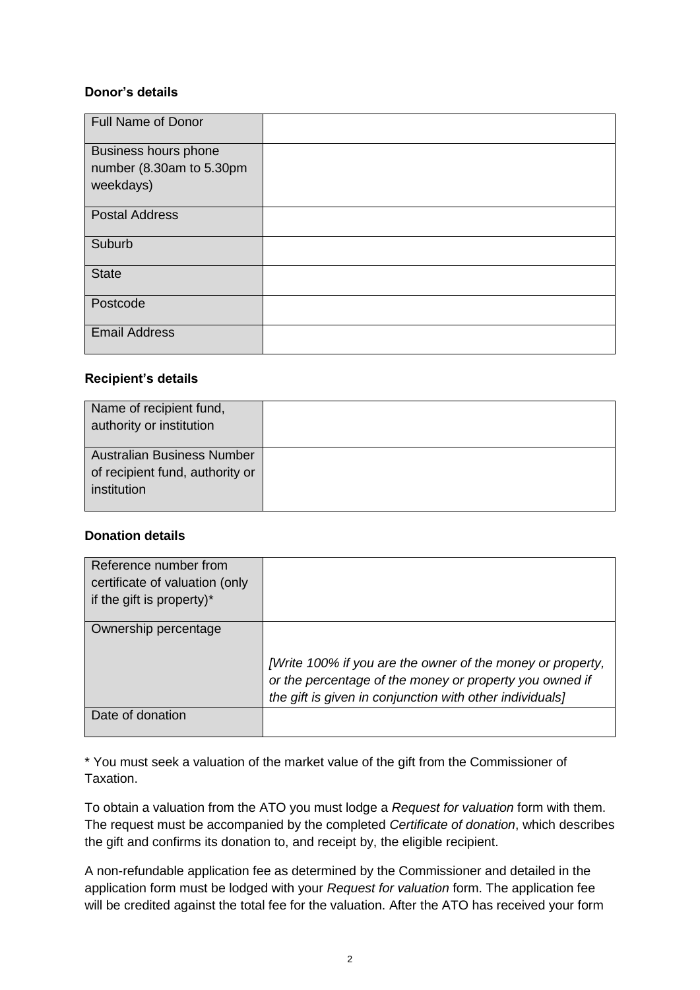### **Donor's details**

| Full Name of Donor                                            |  |
|---------------------------------------------------------------|--|
| Business hours phone<br>number (8.30am to 5.30pm<br>weekdays) |  |
| <b>Postal Address</b>                                         |  |
| Suburb                                                        |  |
| <b>State</b>                                                  |  |
| Postcode                                                      |  |
| <b>Email Address</b>                                          |  |

### **Recipient's details**

| Name of recipient fund,<br>authority or institution                                 |  |
|-------------------------------------------------------------------------------------|--|
| <b>Australian Business Number</b><br>of recipient fund, authority or<br>institution |  |

## **Donation details**

| Reference number from<br>certificate of valuation (only<br>if the gift is property)* |                                                                                                                                                                                   |
|--------------------------------------------------------------------------------------|-----------------------------------------------------------------------------------------------------------------------------------------------------------------------------------|
| Ownership percentage                                                                 | [Write 100% if you are the owner of the money or property,<br>or the percentage of the money or property you owned if<br>the gift is given in conjunction with other individuals] |
| Date of donation                                                                     |                                                                                                                                                                                   |

\* You must seek a valuation of the market value of the gift from the Commissioner of Taxation.

To obtain a valuation from the ATO you must lodge a *Request for valuation* form with them. The request must be accompanied by the completed *Certificate of donation*, which describes the gift and confirms its donation to, and receipt by, the eligible recipient.

A non-refundable application fee as determined by the Commissioner and detailed in the application form must be lodged with your *Request for valuation* form. The application fee will be credited against the total fee for the valuation. After the ATO has received your form